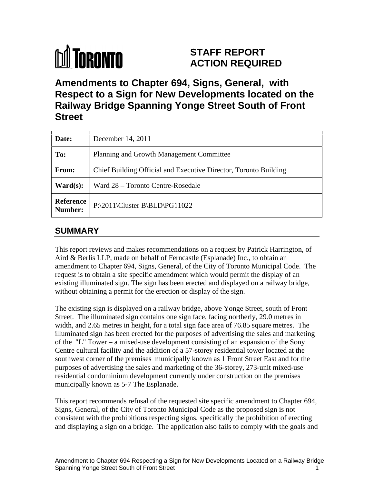# **M** TORONTO

# **STAFF REPORT ACTION REQUIRED**

**Amendments to Chapter 694, Signs, General, with Respect to a Sign for New Developments located on the Railway Bridge Spanning Yonge Street South of Front Street**

| Date: | December 14, 2011                                                |
|-------|------------------------------------------------------------------|
| To:   | Planning and Growth Management Committee                         |
| From: | Chief Building Official and Executive Director, Toronto Building |
|       | <b>Ward(s):</b> Ward $28$ – Toronto Centre-Rosedale              |
|       | Reference<br>P:\2011\Cluster B\BLD\PG11022                       |

# **SUMMARY**

This report reviews and makes recommendations on a request by Patrick Harrington, of Aird & Berlis LLP, made on behalf of Ferncastle (Esplanade) Inc., to obtain an amendment to Chapter 694, Signs, General, of the City of Toronto Municipal Code. The request is to obtain a site specific amendment which would permit the display of an existing illuminated sign. The sign has been erected and displayed on a railway bridge, without obtaining a permit for the erection or display of the sign.

The existing sign is displayed on a railway bridge, above Yonge Street, south of Front Street. The illuminated sign contains one sign face, facing northerly, 29.0 metres in width, and 2.65 metres in height, for a total sign face area of 76.85 square metres. The illuminated sign has been erected for the purposes of advertising the sales and marketing of the "L" Tower – a mixed-use development consisting of an expansion of the Sony Centre cultural facility and the addition of a 57-storey residential tower located at the southwest corner of the premises municipally known as 1 Front Street East and for the purposes of advertising the sales and marketing of the 36-storey, 273-unit mixed-use residential condominium development currently under construction on the premises municipally known as 5-7 The Esplanade.

This report recommends refusal of the requested site specific amendment to Chapter 694, Signs, General, of the City of Toronto Municipal Code as the proposed sign is not consistent with the prohibitions respecting signs, specifically the prohibition of erecting and displaying a sign on a bridge. The application also fails to comply with the goals and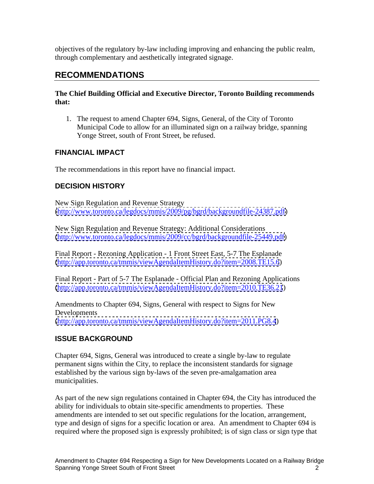objectives of the regulatory by-law including improving and enhancing the public realm, through complementary and aesthetically integrated signage.

# **RECOMMENDATIONS**

#### **The Chief Building Official and Executive Director, Toronto Building recommends that:**

1. The request to amend Chapter 694, Signs, General, of the City of Toronto Municipal Code to allow for an illuminated sign on a railway bridge, spanning Yonge Street, south of Front Street, be refused.

## **FINANCIAL IMPACT**

The recommendations in this report have no financial impact.

## **DECISION HISTORY**

New Sign Regulation and Revenue Strategy [\(http://www.toronto.ca/legdocs/mmis/2009/pg/bgrd/backgroundfile-24387.pdf\)](http://www.toronto.ca/legdocs/mmis/2009/pg/bgrd/backgroundfile-24387.pdf)

New Sign Regulation and Revenue Strategy: Additional Considerations [\(http://www.toronto.ca/legdocs/mmis/2009/cc/bgrd/backgroundfile-25449.pdf\)](http://www.toronto.ca/legdocs/mmis/2009/cc/bgrd/backgroundfile-25449.pdf)

Final Report - Rezoning Application - 1 Front Street East, 5-7 The Esplanade [\(http://app.toronto.ca/tmmis/viewAgendaItemHistory.do?item=2008.TE15.6](http://app.toronto.ca/tmmis/viewAgendaItemHistory.do?item=2008.TE15.6))

Final Report - Part of 5-7 The Esplanade - Official Plan and Rezoning Applications [\(http://app.toronto.ca/tmmis/viewAgendaItemHistory.do?item=2010.TE36.21](http://app.toronto.ca/tmmis/viewAgendaItemHistory.do?item=2010.TE36.21))

Amendments to Chapter 694, Signs, General with respect to Signs for New Developments [\(http://app.toronto.ca/tmmis/viewAgendaItemHistory.do?item=2011.PG8.4](http://app.toronto.ca/tmmis/viewAgendaItemHistory.do?item=2011.PG8.4))

## **ISSUE BACKGROUND**

Chapter 694, Signs, General was introduced to create a single by-law to regulate permanent signs within the City, to replace the inconsistent standards for signage established by the various sign by-laws of the seven pre-amalgamation area municipalities.

As part of the new sign regulations contained in Chapter 694, the City has introduced the ability for individuals to obtain site-specific amendments to properties. These amendments are intended to set out specific regulations for the location, arrangement, type and design of signs for a specific location or area. An amendment to Chapter 694 is required where the proposed sign is expressly prohibited; is of sign class or sign type that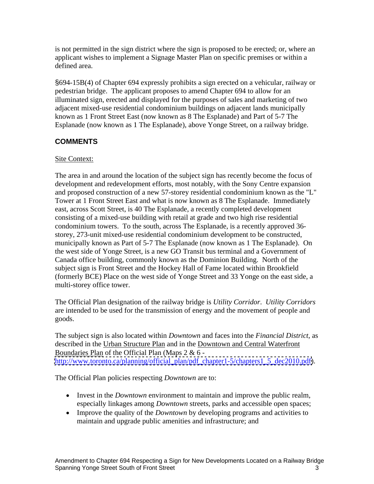is not permitted in the sign district where the sign is proposed to be erected; or, where an applicant wishes to implement a Signage Master Plan on specific premises or within a defined area.

§694-15B(4) of Chapter 694 expressly prohibits a sign erected on a vehicular, railway or pedestrian bridge. The applicant proposes to amend Chapter 694 to allow for an illuminated sign, erected and displayed for the purposes of sales and marketing of two adjacent mixed-use residential condominium buildings on adjacent lands municipally known as 1 Front Street East (now known as 8 The Esplanade) and Part of 5-7 The Esplanade (now known as 1 The Esplanade), above Yonge Street, on a railway bridge.

## **COMMENTS**

#### **Site Context:** Solution of the Context:  $\frac{1}{2}$  is the Context:  $\frac{1}{2}$  is the Context:  $\frac{1}{2}$  is the Context:  $\frac{1}{2}$  is the Context:  $\frac{1}{2}$  is the Context:  $\frac{1}{2}$  is the Context:  $\frac{1}{2}$  is the Context:

The area in and around the location of the subject sign has recently become the focus of development and redevelopment efforts, most notably, with the Sony Centre expansion and proposed construction of a new 57-storey residential condominium known as the "L" Tower at 1 Front Street East and what is now known as 8 The Esplanade. Immediately east, across Scott Street, is 40 The Esplanade, a recently completed development consisting of a mixed-use building with retail at grade and two high rise residential condominium towers. To the south, across The Esplanade, is a recently approved 36 storey, 273-unit mixed-use residential condominium development to be constructed, municipally known as Part of 5-7 The Esplanade (now known as 1 The Esplanade). On the west side of Yonge Street, is a new GO Transit bus terminal and a Government of Canada office building, commonly known as the Dominion Building. North of the subject sign is Front Street and the Hockey Hall of Fame located within Brookfield (formerly BCE) Place on the west side of Yonge Street and 33 Yonge on the east side, a multi-storey office tower.

The Official Plan designation of the railway bridge is *Utility Corridor*. *Utility Corridors* are intended to be used for the transmission of energy and the movement of people and goods.

The subject sign is also located within *Downtown* and faces into the *Financial District*, as described in the Urban Structure Plan and in the Downtown and Central Waterfront Boundaries Plan of the Official Plan (Maps 2 & 6 [http://www.toronto.ca/planning/official\\_plan/pdf\\_chapter1-5/chapters1\\_5\\_dec2010.pdf\)](http://www.toronto.ca/planning/official_plan/pdf_chapter1-5/chapters1_5_dec2010.pdf).

The Official Plan policies respecting *Downtown* are to:

- Invest in the *Downtown* environment to maintain and improve the public realm, especially linkages among *Downtown* streets, parks and accessible open spaces;
- Improve the quality of the *Downtown* by developing programs and activities to maintain and upgrade public amenities and infrastructure; and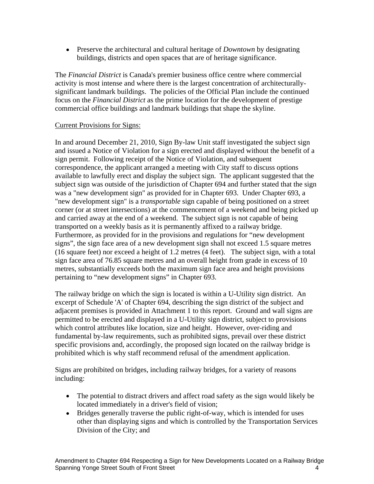Preserve the architectural and cultural heritage of *Downtown* by designating buildings, districts and open spaces that are of heritage significance.

The *Financial District* is Canada's premier business office centre where commercial activity is most intense and where there is the largest concentration of architecturally significant landmark buildings. The policies of the Official Plan include the continued focus on the *Financial District* as the prime location for the development of prestige commercial office buildings and landmark buildings that shape the skyline.

#### Current Provisions for Signs:

In and around December 21, 2010, Sign By-law Unit staff investigated the subject sign and issued a Notice of Violation for a sign erected and displayed without the benefit of a sign permit. Following receipt of the Notice of Violation, and subsequent correspondence, the applicant arranged a meeting with City staff to discuss options available to lawfully erect and display the subject sign. The applicant suggested that the subject sign was outside of the jurisdiction of Chapter 694 and further stated that the sign was a "new development sign" as provided for in Chapter 693. Under Chapter 693, a "new development sign" is a *transportable* sign capable of being positioned on a street corner (or at street intersections) at the commencement of a weekend and being picked up and carried away at the end of a weekend. The subject sign is not capable of being transported on a weekly basis as it is permanently affixed to a railway bridge. Furthermore, as provided for in the provisions and regulations for "new development signs", the sign face area of a new development sign shall not exceed 1.5 square metres (16 square feet) nor exceed a height of 1.2 metres (4 feet). The subject sign, with a total sign face area of 76.85 square metres and an overall height from grade in excess of 10 metres, substantially exceeds both the maximum sign face area and height provisions pertaining to "new development signs" in Chapter 693.

The railway bridge on which the sign is located is within a U-Utility sign district. An excerpt of Schedule 'A' of Chapter 694, describing the sign district of the subject and adjacent premises is provided in Attachment 1 to this report. Ground and wall signs are permitted to be erected and displayed in a U-Utility sign district, subject to provisions which control attributes like location, size and height. However, over-riding and fundamental by-law requirements, such as prohibited signs, prevail over these district specific provisions and, accordingly, the proposed sign located on the railway bridge is prohibited which is why staff recommend refusal of the amendment application. Signs are prohibited on bridges, including railway bridges, for a variety of reasons

including:

- The potential to distract drivers and affect road safety as the sign would likely be located immediately in a driver's field of vision;
- Bridges generally traverse the public right-of-way, which is intended for uses other than displaying signs and which is controlled by the Transportation Services Division of the City; and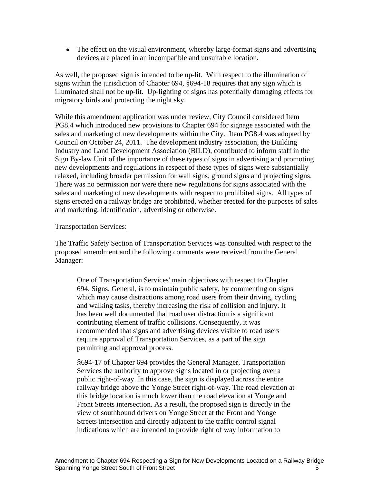• The effect on the visual environment, whereby large-format signs and advertising devices are placed in an incompatible and unsuitable location.

As well, the proposed sign is intended to be up-lit. With respect to the illumination of signs within the jurisdiction of Chapter 694, §694-18 requires that any sign which is illuminated shall not be up-lit. Up-lighting of signs has potentially damaging effects for migratory birds and protecting the night sky.

While this amendment application was under review, City Council considered Item PG8.4 which introduced new provisions to Chapter 694 for signage associated with the sales and marketing of new developments within the City. Item PG8.4 was adopted by Council on October 24, 2011. The development industry association, the Building Industry and Land Development Association (BILD), contributed to inform staff in the Sign By-law Unit of the importance of these types of signs in advertising and promoting new developments and regulations in respect of these types of signs were substantially relaxed, including broader permission for wall signs, ground signs and projecting signs. There was no permission nor were there new regulations for signs associated with the sales and marketing of new developments with respect to prohibited signs. All types of signs erected on a railway bridge are prohibited, whether erected for the purposes of sales and marketing, identification, advertising or otherwise.

#### Transportation Services:

The Traffic Safety Section of Transportation Services was consulted with respect to the proposed amendment and the following comments were received from the General Manager:

One of Transportation Services' main objectives with respect to Chapter 694, Signs, General, is to maintain public safety, by commenting on signs which may cause distractions among road users from their driving, cycling and walking tasks, thereby increasing the risk of collision and injury. It has been well documented that road user distraction is a significant contributing element of traffic collisions. Consequently, it was recommended that signs and advertising devices visible to road users require approval of Transportation Services, as a part of the sign permitting and approval process.

§694-17 of Chapter 694 provides the General Manager, Transportation Services the authority to approve signs located in or projecting over a public right-of-way. In this case, the sign is displayed across the entire railway bridge above the Yonge Street right-of-way. The road elevation at this bridge location is much lower than the road elevation at Yonge and Front Streets intersection. As a result, the proposed sign is directly in the view of southbound drivers on Yonge Street at the Front and Yonge Streets intersection and directly adjacent to the traffic control signal indications which are intended to provide right of way information to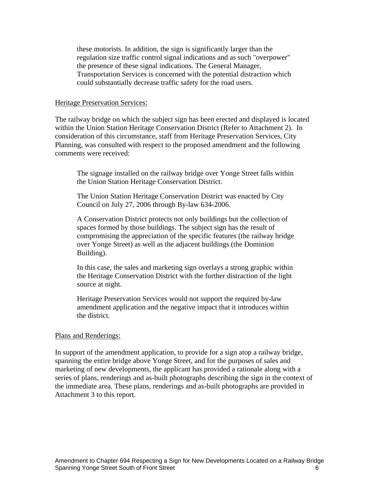these motorists. In addition, the sign is significantly larger than the regulation size traffic control signal indications and as such "overpower" the presence of these signal indications. The General Manager, Transportation Services is concerned with the potential distraction which could substantially decrease traffic safety for the road users.

#### Heritage Preservation Services:

The railway bridge on which the subject sign has been erected and displayed is located within the Union Station Heritage Conservation District (Refer to Attachment 2). In consideration of this circumstance, staff from Heritage Preservation Services, City Planning, was consulted with respect to the proposed amendment and the following comments were received:

The signage installed on the railway bridge over Yonge Street falls within the Union Station Heritage Conservation District.

The Union Station Heritage Conservation District was enacted by City Council on July 27, 2006 through By-law 634-2006.

A Conservation District protects not only buildings but the collection of spaces formed by those buildings. The subject sign has the result of compromising the appreciation of the specific features (the railway bridge over Yonge Street) as well as the adjacent buildings (the Dominion Building).

In this case, the sales and marketing sign overlays a strong graphic within the Heritage Conservation District with the further distraction of the light source at night.

Heritage Preservation Services would not support the required by-law amendment application and the negative impact that it introduces within the district.

#### Plans and Renderings:

In support of the amendment application, to provide for a sign atop a railway bridge, spanning the entire bridge above Yonge Street, and for the purposes of sales and marketing of new developments, the applicant has provided a rationale along with a series of plans, renderings and as-built photographs describing the sign in the context of the immediate area. These plans, renderings and as-built photographs are provided in Attachment 3 to this report.